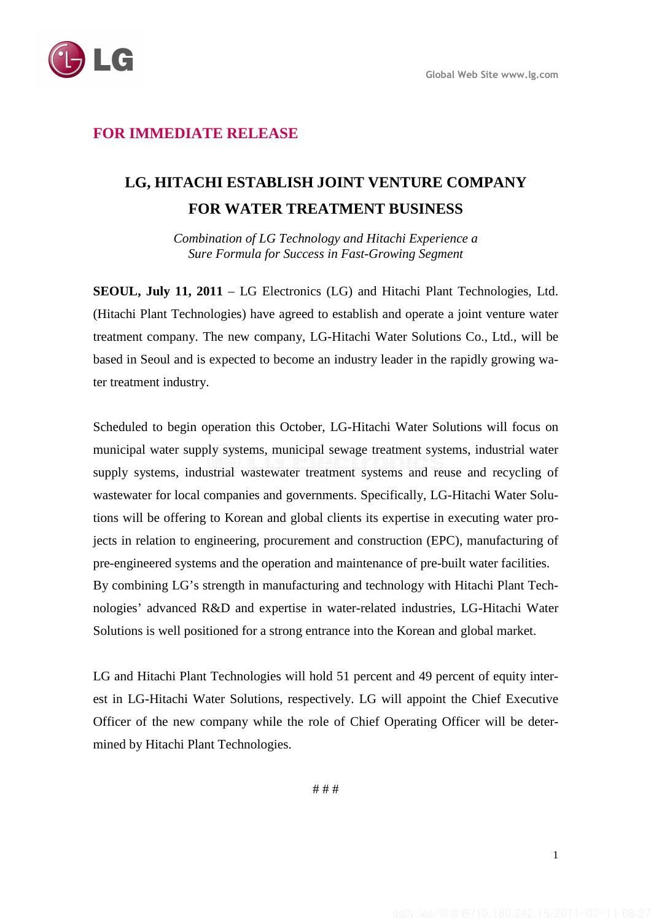

## **FOR IMMEDIATE RELEASE**

## **LG, HITACHI ESTABLISH JOINT VENTURE COMPANY FOR WATER TREATMENT BUSINESS**

*Combination of LG Technology and Hitachi Experience a Sure Formula for Success in Fast-Growing Segment* 

**SEOUL, July 11, 2011** – LG Electronics (LG) and Hitachi Plant Technologies, Ltd. (Hitachi Plant Technologies) have agreed to establish and operate a joint venture water treatment company. The new company, LG-Hitachi Water Solutions Co., Ltd., will be based in Seoul and is expected to become an industry leader in the rapidly growing water treatment industry.

Scheduled to begin operation this October, LG-Hitachi Water Solutions will focus on municipal water supply systems, municipal sewage treatment systems, industrial water supply systems, industrial wastewater treatment systems and reuse and recycling of wastewater for local companies and governments. Specifically, LG-Hitachi Water Solutions will be offering to Korean and global clients its expertise in executing water projects in relation to engineering, procurement and construction (EPC), manufacturing of pre-engineered systems and the operation and maintenance of pre-built water facilities. By combining LG's strength in manufacturing and technology with Hitachi Plant Technologies' advanced R&D and expertise in water-related industries, LG-Hitachi Water Solutions is well positioned for a strong entrance into the Korean and global market.

LG and Hitachi Plant Technologies will hold 51 percent and 49 percent of equity interest in LG-Hitachi Water Solutions, respectively. LG will appoint the Chief Executive Officer of the new company while the role of Chief Operating Officer will be determined by Hitachi Plant Technologies.

# # #